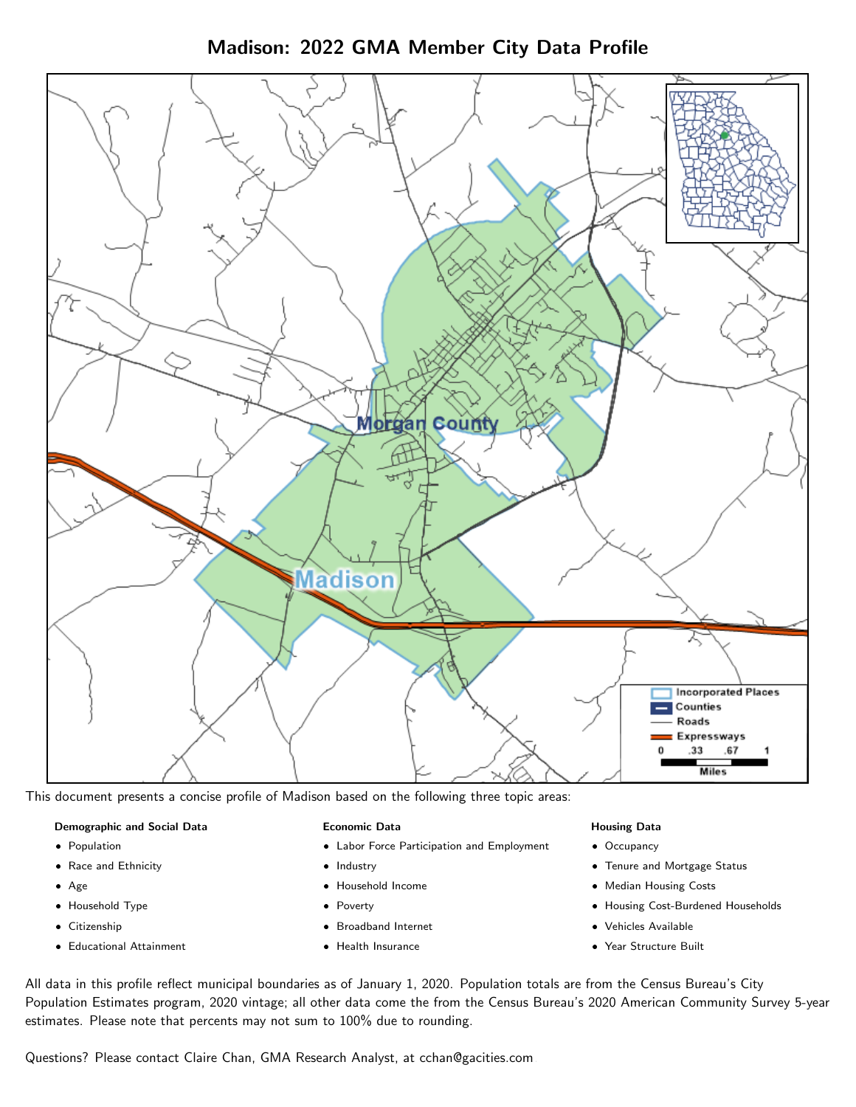Madison: 2022 GMA Member City Data Profile



This document presents a concise profile of Madison based on the following three topic areas:

#### Demographic and Social Data

- **•** Population
- Race and Ethnicity
- Age
- Household Type
- **Citizenship**
- Educational Attainment

#### Economic Data

- Labor Force Participation and Employment
- Industry
- Household Income
- Poverty
- Broadband Internet
- Health Insurance

#### Housing Data

- Occupancy
- Tenure and Mortgage Status
- Median Housing Costs
- Housing Cost-Burdened Households
- Vehicles Available
- Year Structure Built

All data in this profile reflect municipal boundaries as of January 1, 2020. Population totals are from the Census Bureau's City Population Estimates program, 2020 vintage; all other data come the from the Census Bureau's 2020 American Community Survey 5-year estimates. Please note that percents may not sum to 100% due to rounding.

Questions? Please contact Claire Chan, GMA Research Analyst, at [cchan@gacities.com.](mailto:cchan@gacities.com)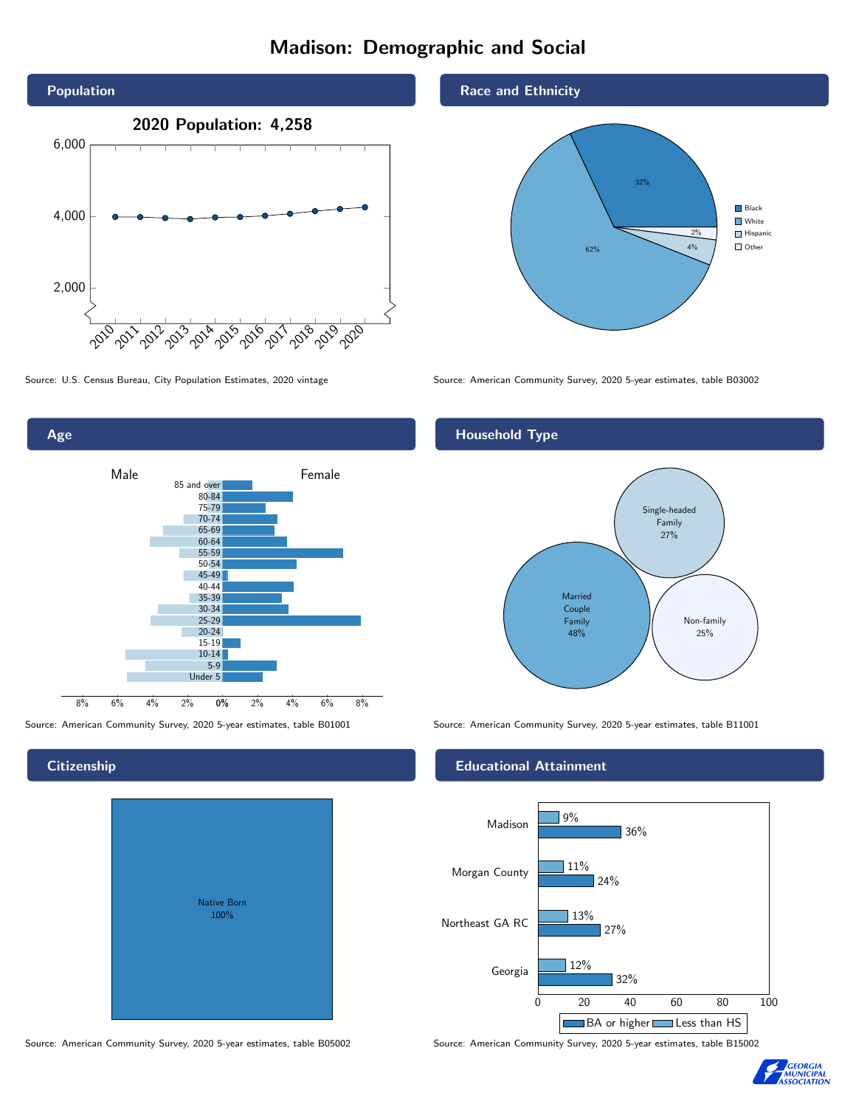# Madison: Demographic and Social





**Citizenship** 

| Native Born<br>100% |  |
|---------------------|--|

Race and Ethnicity



Source: U.S. Census Bureau, City Population Estimates, 2020 vintage Source: American Community Survey, 2020 5-year estimates, table B03002

### Household Type



Source: American Community Survey, 2020 5-year estimates, table B01001 Source: American Community Survey, 2020 5-year estimates, table B11001

#### Educational Attainment



Source: American Community Survey, 2020 5-year estimates, table B05002 Source: American Community Survey, 2020 5-year estimates, table B15002

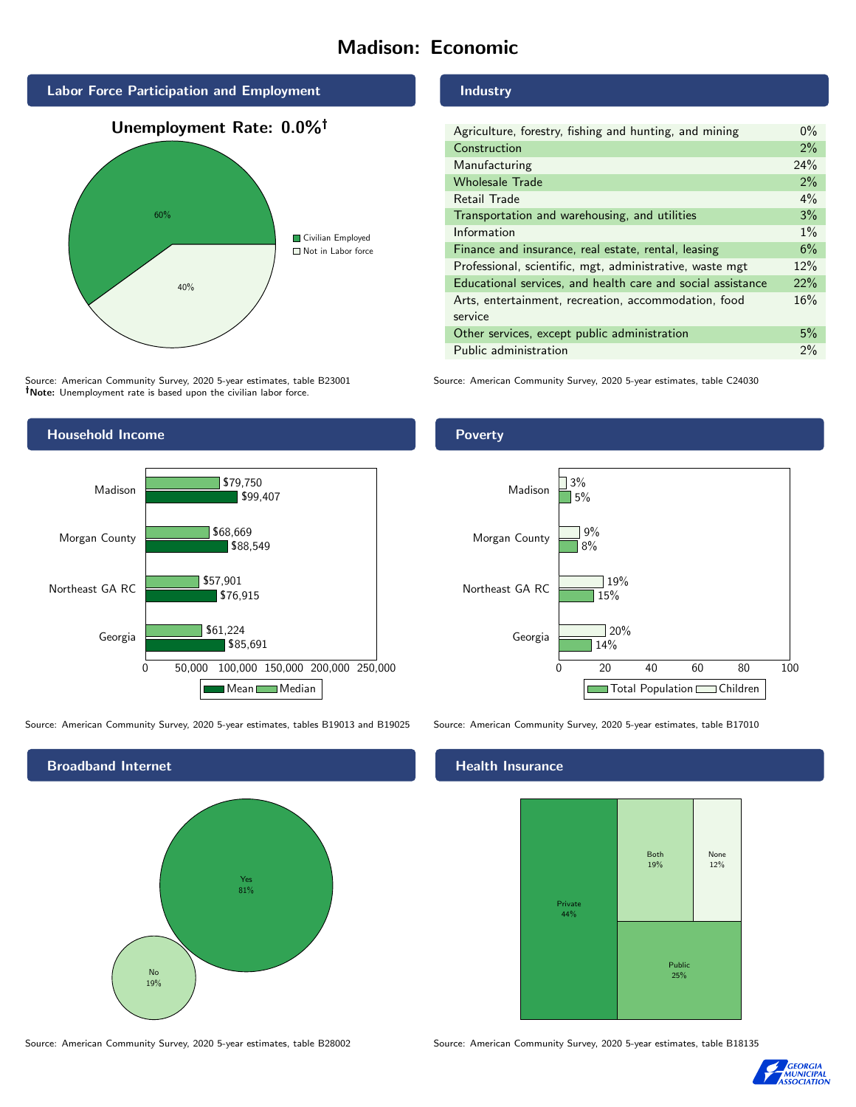# Madison: Economic



Source: American Community Survey, 2020 5-year estimates, table B23001 Note: Unemployment rate is based upon the civilian labor force.





Source: American Community Survey, 2020 5-year estimates, tables B19013 and B19025 Source: American Community Survey, 2020 5-year estimates, table B17010



Source: American Community Survey, 2020 5-year estimates, table B28002 Source: American Community Survey, 2020 5-year estimates, table B18135

Industry

| Agriculture, forestry, fishing and hunting, and mining      | $0\%$ |
|-------------------------------------------------------------|-------|
| Construction                                                |       |
| Manufacturing                                               | 24%   |
| <b>Wholesale Trade</b>                                      | 2%    |
| Retail Trade                                                | $4\%$ |
| Transportation and warehousing, and utilities               |       |
| Information                                                 |       |
| Finance and insurance, real estate, rental, leasing         |       |
| Professional, scientific, mgt, administrative, waste mgt    |       |
| Educational services, and health care and social assistance |       |
| Arts, entertainment, recreation, accommodation, food        |       |
| service                                                     |       |
| Other services, except public administration                |       |
| Public administration                                       |       |

Source: American Community Survey, 2020 5-year estimates, table C24030





## **Health Insurance**